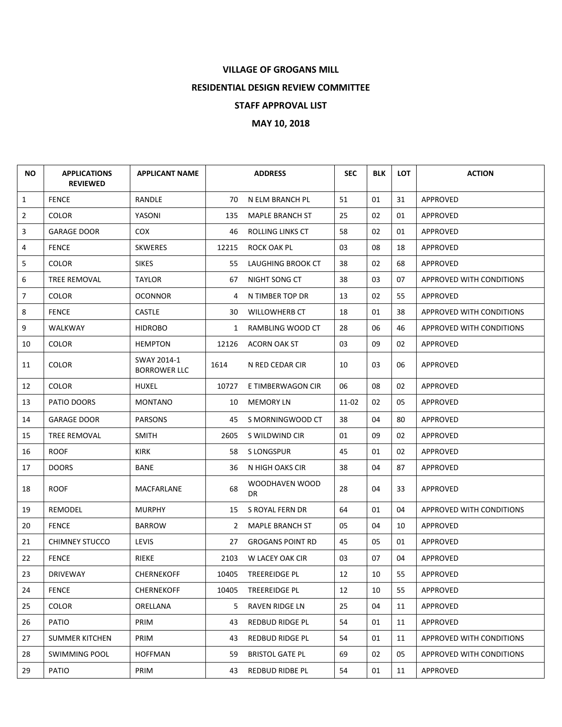## **VILLAGE OF GROGANS MILL**

**RESIDENTIAL DESIGN REVIEW COMMITTEE**

## **STAFF APPROVAL LIST**

**MAY 10, 2018**

| <b>NO</b>      | <b>APPLICATIONS</b><br><b>REVIEWED</b> | <b>APPLICANT NAME</b>              |       | <b>ADDRESS</b>          | <b>SEC</b> | <b>BLK</b> | <b>LOT</b> | <b>ACTION</b>            |
|----------------|----------------------------------------|------------------------------------|-------|-------------------------|------------|------------|------------|--------------------------|
| $\mathbf{1}$   | <b>FENCE</b>                           | RANDLE                             | 70    | N ELM BRANCH PL         | 51         | 01         | 31         | <b>APPROVED</b>          |
| $\overline{2}$ | <b>COLOR</b>                           | YASONI                             | 135   | <b>MAPLE BRANCH ST</b>  | 25         | 02         | 01         | APPROVED                 |
| 3              | <b>GARAGE DOOR</b>                     | COX.                               | 46    | <b>ROLLING LINKS CT</b> | 58         | 02         | 01         | <b>APPROVED</b>          |
| 4              | <b>FENCE</b>                           | <b>SKWERES</b>                     | 12215 | ROCK OAK PL             | 03         | 08         | 18         | APPROVED                 |
| 5              | <b>COLOR</b>                           | <b>SIKES</b>                       | 55    | LAUGHING BROOK CT       | 38         | 02         | 68         | APPROVED                 |
| 6              | <b>TREE REMOVAL</b>                    | <b>TAYLOR</b>                      | 67    | NIGHT SONG CT           | 38         | 03         | 07         | APPROVED WITH CONDITIONS |
| 7              | <b>COLOR</b>                           | <b>OCONNOR</b>                     | 4     | N TIMBER TOP DR         | 13         | 02         | 55         | APPROVED                 |
| 8              | <b>FENCE</b>                           | <b>CASTLE</b>                      | 30    | <b>WILLOWHERB CT</b>    | 18         | 01         | 38         | APPROVED WITH CONDITIONS |
| 9              | WALKWAY                                | <b>HIDROBO</b>                     | 1     | RAMBLING WOOD CT        | 28         | 06         | 46         | APPROVED WITH CONDITIONS |
| 10             | <b>COLOR</b>                           | <b>HEMPTON</b>                     | 12126 | <b>ACORN OAK ST</b>     | 03         | 09         | 02         | APPROVED                 |
| 11             | <b>COLOR</b>                           | SWAY 2014-1<br><b>BORROWER LLC</b> | 1614  | N RED CEDAR CIR         | 10         | 03         | 06         | APPROVED                 |
| 12             | <b>COLOR</b>                           | HUXEL                              | 10727 | E TIMBERWAGON CIR       | 06         | 08         | 02         | APPROVED                 |
| 13             | PATIO DOORS                            | <b>MONTANO</b>                     | 10    | MEMORY LN               | 11-02      | 02         | 05         | APPROVED                 |
| 14             | <b>GARAGE DOOR</b>                     | <b>PARSONS</b>                     | 45    | S MORNINGWOOD CT        | 38         | 04         | 80         | APPROVED                 |
| 15             | TREE REMOVAL                           | <b>SMITH</b>                       | 2605  | S WILDWIND CIR          | 01         | 09         | 02         | APPROVED                 |
| 16             | <b>ROOF</b>                            | <b>KIRK</b>                        | 58    | S LONGSPUR              | 45         | 01         | 02         | APPROVED                 |
| 17             | <b>DOORS</b>                           | BANE                               | 36    | N HIGH OAKS CIR         | 38         | 04         | 87         | APPROVED                 |
| 18             | <b>ROOF</b>                            | MACFARLANE                         | 68    | WOODHAVEN WOOD<br>DR    | 28         | 04         | 33         | APPROVED                 |
| 19             | <b>REMODEL</b>                         | <b>MURPHY</b>                      | 15    | S ROYAL FERN DR         | 64         | 01         | 04         | APPROVED WITH CONDITIONS |
| 20             | <b>FENCE</b>                           | <b>BARROW</b>                      | 2     | <b>MAPLE BRANCH ST</b>  | 05         | 04         | 10         | <b>APPROVED</b>          |
| 21             | <b>CHIMNEY STUCCO</b>                  | <b>LEVIS</b>                       | 27    | <b>GROGANS POINT RD</b> | 45         | 05         | 01         | APPROVED                 |
| 22             | <b>FENCE</b>                           | RIEKE                              | 2103  | W LACEY OAK CIR         | 03         | 07         | 04         | <b>APPROVED</b>          |
| 23             | <b>DRIVEWAY</b>                        | <b>CHERNEKOFF</b>                  | 10405 | TREEREIDGE PL           | 12         | 10         | 55         | <b>APPROVED</b>          |
| 24             | <b>FENCE</b>                           | <b>CHERNEKOFF</b>                  | 10405 | TREEREIDGE PL           | 12         | 10         | 55         | APPROVED                 |
| 25             | <b>COLOR</b>                           | ORELLANA                           | 5.    | RAVEN RIDGE LN          | 25         | 04         | 11         | APPROVED                 |
| 26             | PATIO                                  | PRIM                               | 43    | REDBUD RIDGE PL         | 54         | 01         | 11         | APPROVED                 |
| 27             | <b>SUMMER KITCHEN</b>                  | PRIM                               | 43    | REDBUD RIDGE PL         | 54         | 01         | 11         | APPROVED WITH CONDITIONS |
| 28             | SWIMMING POOL                          | <b>HOFFMAN</b>                     | 59    | <b>BRISTOL GATE PL</b>  | 69         | 02         | 05         | APPROVED WITH CONDITIONS |
| 29             | PATIO                                  | PRIM                               | 43    | REDBUD RIDBE PL         | 54         | 01         | 11         | APPROVED                 |